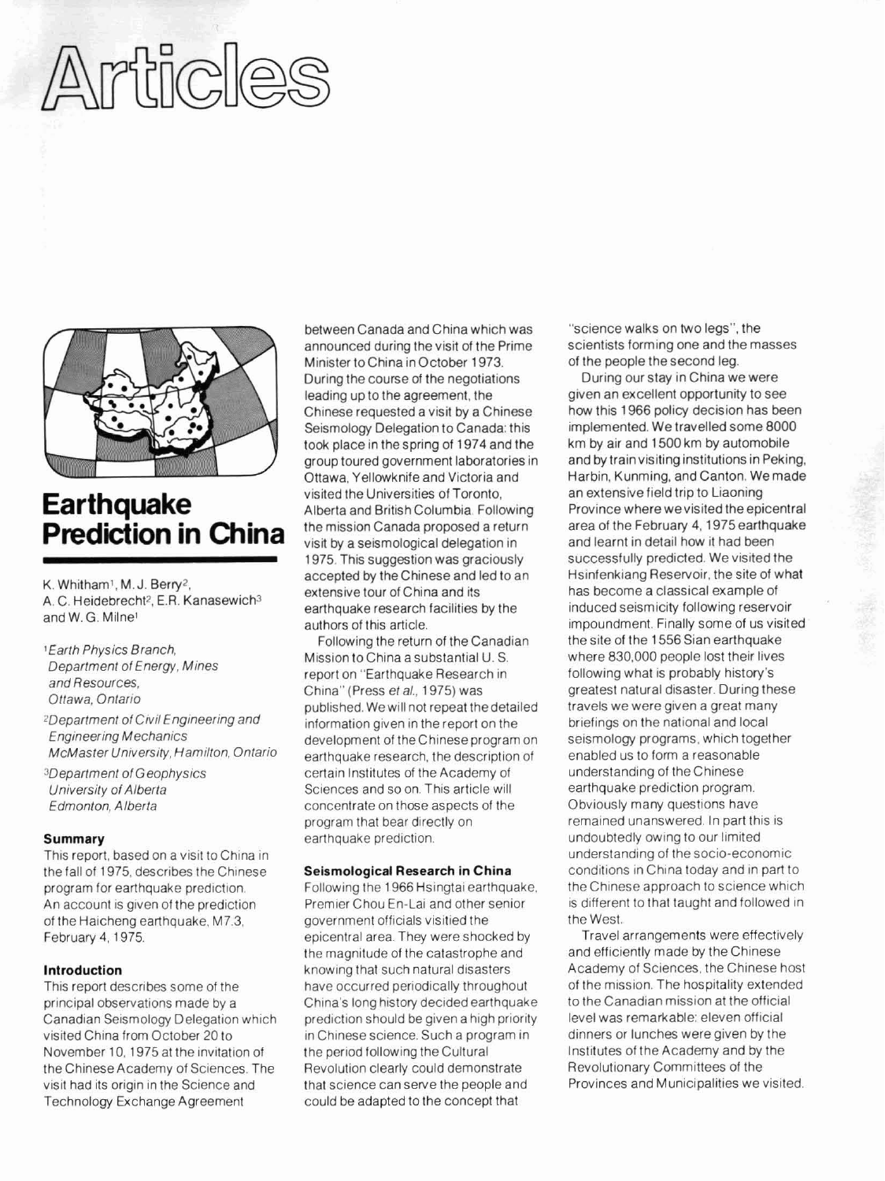# Articles



# **Earthquake Prediction in China**

K. Whitham'. M. J. Berry'. A. C. Heidebrecht<sup>2</sup>, E.R. Kanasewich<sup>3</sup> and W. G. Milne'

- 1 Earth Physics Branch, Department of Energy. Mines and Resources. Ottawa. Ontario
- 2Department of Civil Engineering and EngineeringMechanics McMaster University, Hamilton. Ontario
- 3Department of Geophysics University of Alberta Edmonton, Alberta

### **Summary**

This report, based on a visit to China in the fall of 1975, describes the Chinese program for earthquake prediction. An account is given of the prediction of the Haicheng earthquake, M7.3, February 4, 1975.

# **Introduction**

This report describes some of the principal observations made by a Canadian Seismology Delegation which visited China from October 20 to November 10, 1975 at the invitation of the Chinese Academy of Sciences. The visit had its origin in the Science and Technology Exchange Agreement

between Canada andChina which was announced during the visit of the Prime Minister to China inOctober 1973. During the course of the negotiations leading up to the agreement, the Chinese requested avisit by a Chinese Seismology Delegation to Canada: this took place in the spring of 1974 and the group toured government laboratories in Ottawa. Yellowknife and Victoria and visited the Universities of Toronto. Alberta and British Columbia. Following the mission Canada proposed a return visit by a seismological delegation in 1975. This suggestion was graciously accepted **by** theChinese and led to an extensive tour of China and its earthquake research facilities by the authors of this article.

Following the return of the Canadian Mission toChina a substantial U. S. report on "Earthquake Research in China" (Press et al., 1975) was published. Wewill not repeat thedetailed information given in thereport on the development of theChinese program on earthquake research, the description of certain Institutes of the Academy of Sciences and so on. This article will concentrate on those aspects of the program that bear directly on earthquake prediction.

## **Seismological Research in China**

Following the 1966 Hsingtai earthquake. Premier Chou En-Lai and other senior government officials visitied the epicentral area. They were shocked by the magnitude of the catastrophe and knowing that such natural disasters have occurred periodically throughout China's long history decided earthquake prediction should be given a high priority in Chinese science. Such a program in the period following the Cultural Revolution clearly could demonstrate that science can serve the people and could be adapted to the concept that

"science walks on two legs", the scientists forming one and the masses of the people the second leg.

During our stay in China we were given an excellent opportunity to see how this 1966 policy decision has been implemented. We travelled some 8000 km **by** air and 1500 km by automobile and **by** train visiting institutions in Peking, Harbin, Kunming, and Canton. Wemade an extensive field trip to Liaoning Province where we visited the epicentral area of the February 4. 1975earthquake and learnt in detail how it had been successfully predicted. We visited the Hsinfenkiang Reservoir, the site of what has become a classical example of induced seismicity following reservoir impoundment. Finally some of us visited the site of the 1556 Sian earthquake where 830.000 people lost their lives following what is probably history's greatest natural disaster. During these travels we were given a great many briefings on the national and local seismology programs, which together enabled us to form a reasonable understanding of the Chinese earthquake prediction program. Obviously many questions have remained unanswered. In part this is undoubtedly owing to our limited understanding of thesocio-economic conditions in China today and in part to the Chinese approach to science which is different to that taught and followed in the West.

Travel arrangements were effectively and efficiently made by the Chinese Academy of Sciences, the Chinese host of the mission. The hospitality extended to the Canadian mission at the official level was remarkable: eleven official dinners or lunches were given by the Institutes of the Academy and by the Revolutionary Committees of the Provinces and Municipalities we visited.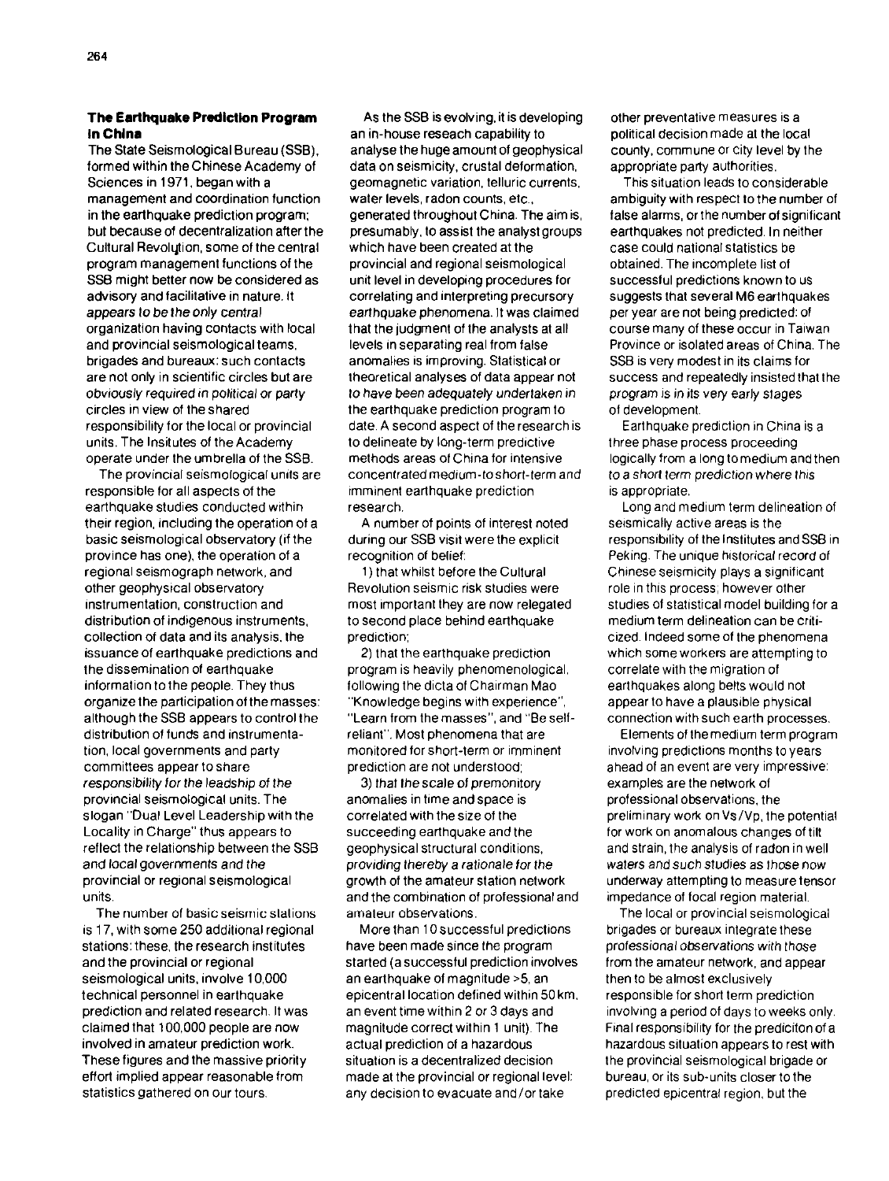# **The Earthquake Prediction Program In Chlna**

The State Seismological Bureau (SSB). formed within theChinese Academy of Sciences in 1971, began with a management and coordination function in the earthquake prediction program: but because of decentralization after the Cultural Revolqion, some of the central program management functions of the SSB might better now be considered as advisory and facilitative in nature. It appears to be the only central organization having contacts with local and provincial seismological teams. brigades and bureaux: such contacts are not only in scientific circles but are obviously required in political or party circles in view of the shared responsibility for the local or provincial units. The lnsitutes of the Academy operate under the umbrella of the SSB.

The provincial seismological units are responsible for all aspects of the earthquake studies conducted wtthin their region, including the operation of a basic seismological observatory (if the province has one), the operation of a regional seismograph network, and other geophysical observatory instrumentation, construction and distribution of indigenous instruments, collection of data and its analysis. the issuance of earthquake predictions and the dissemination of earthquake information tothe people. They thus organize the participation of the masses: although the SSB appears to control the distribution of funds and instrumentation, local governments and party committees appear toshare responsibility for the leadship of the provincial seismological units. The slogan "Dual Level Leadership with the Locality in Charge" thus appears to reflect the relationship between the SSB and local governments and the provincial or regional seismological units.

The number of basic seismic slations is 17, with some 250 additional regional stations: these, the research inslitutes and the provincial or regional seismological units. involve 10,000 technical personnel in earthquake prediction and related research. It was claimed that 100.000 people are now involved in amateur prediction work. These figures and the massive priority effort implied appear reasonable from statistics gathered on our tours.

As the SSB is evolving, it is developing an in-house reseach capability to analyse the huge amount of geophysical data on seismicity, crustal deformation, geomagnetic variation, telluric currents. water levels, radon counts, etc.. generated throughout China. The aim is, presumably, to assist the analyst groups which have been created at the provincial and regional seismological unit level in developing procedures for correlating and interpreting precursory earthquake phenomena. It was claimed that the judgment of the analysts at all levels in separating real from false anomalies is improving. Statistical or theoretical analyses of data appear not to have been adequately undertaken in the earthquake prediction program to date. A second aspect of theresearch is to delineate by long-term predictive methods areas of China for intensive concentrated medium-toshort-term and imminent earthquake prediction research.

**A** number of points of interest noted during our SSB visit were the explicit recognition of belief:

I) that whilst before the Cultural Revolution seismic risk studies were most important they are now relegated to second place behind earthquake prediction;

2) that the earthquake prediction program is heavily phenomenological. following the dicta of Chairman Mao "Knowledge begins with experlence", "Learn from themasses". and "Be selfreliant". Most phenomena that are monitored for short-term or imminent prediction are not understood;

3) that the scale of premonitory anomalies in time and space is correlated with thesize of the succeeding earthquake and the geophysical structural conditions. providing thereby a rationale for the growth of the amateur station network and the combination of professional and amateur observations.

More than 10 successful predictions have been made since the program started (a successful prediction involves an earthquake of magnitude >5, an epicentral location defined within 50 km. an event time within 2 or 3 days and magnitude correct within 1 unit). The actual prediction of a hazardous situation is a decentralized decision made at the provincial or regional level: any decision to evacuate and/or take

other preventative measures is a political decision made at the local county, commune or city level by the appropriate party authorities.

This situation leads to considerable ambiguity with respect to the number of false alarms, or the number of significant earthquakes not predicted. In neither case could national statistics be obtained. The incomplete list of successful predictions known to us suggests that several **M6** earthquakes per year are not being predicted: of course many of these occur in Taiwan Province or isolated areas of China. The SSB is very modest in its claims for success and repeatedly insisted that the program is in its very early stages of development.

Earthquake prediction in China is a three phase process proceeding logically from a long tomedium and then to a short term prediction where thls is appropriate.

Long and medium term delineation of seismically active areas is the responsibility of the Institutes and SSB in Peking. The unique historical record of Chinese seismicity plays a significant role in thls process, however other studies of statistical model building for a medium term delineation can be criticized. Indeed some of the phenomena which some workers are attempting to correlate with the migration of earthquakes along belts would not appear to have a plausible physical connection with such earth processes.

Elements of themedium term program involving predictions months to years ahead of an event are very impressive: examples are the network of professional observations, the preliminary wok on VS/Vp, the potential for work on anomalous changes of tilt and strain, the analysis of radon in well waters and such studies as those now underway attempting to measure tensor impedance of focal region material.

The local or provincial seismological brigades or bureaux integrate these professional observations with those from the amateur network, and appear then to be almost exclusively responsible for short term prediction involving a period of days to weeks only. Final responsibility for the prediciton of a hazardous situation appears to rest with the provincial seismological brigade or bureau, or its sub-units closer to the predicted epicentral region, but the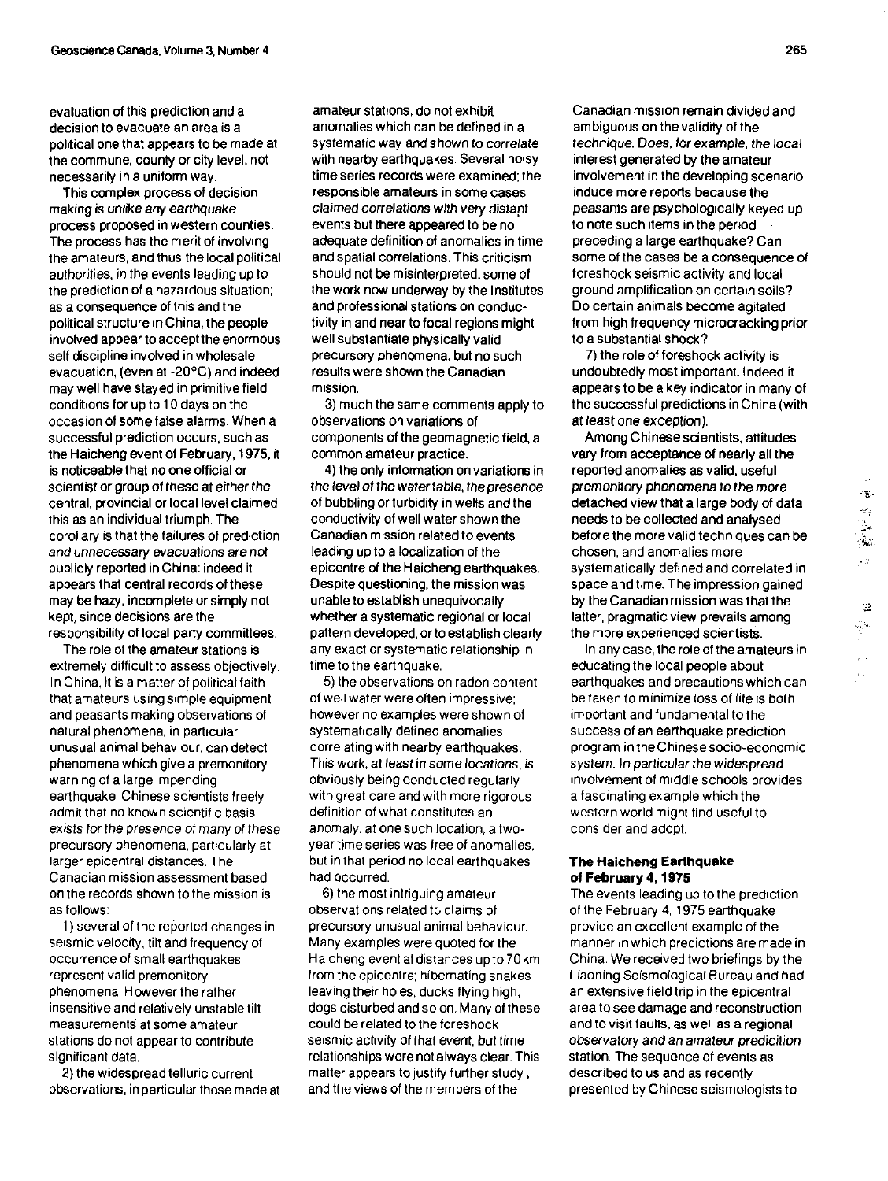evaluation of this prediction and a decision to evacuate an area is a political one that appears to be made at the commune, county or city level, not necessarily in a uniform way.

This complex process of decision making is unlike any earthquake process proposed in western counties. The process has the merit of involving the amateurs, and thus thelocal political authorities, in the events leading up to the prediction of a hazardous situation; as a consequence of this and the political structure in China, the people involved appear to accept the enormous self discipline involved in wholesale evacuation, (even at -20°C) and indeed may well have stayed in primitive field conditions for up to I0 days on the occasion of some false alarms. When a successful prediction occurs, such as the Haicheng event of February. **1975.** it is noticeable that no one official or scientist or group of these at either the central, provincial or local level claimed this as an individual triumph. The corollary is that the failures of prediction and unnecessary evacuations are not publicly reported inChina: indeed it appears that central records of these may **be** hazy, incomplete or simply not kept, since decisions are the responsibility ot local party committees.

The role of the amateur stations is extremely difficult to assess objectively. In China, it is a matter of political faith that amateurs usingsimple equipment and peasants making observations of natural phenomena, in particular unusual animal behaviour, can detect phenomena which give a premonitory warning of a large impending earthquake. Chinese scientists freely admit that no known scientific basis exists for the presence of many of these precursory phenomena, particularly at larger epicentral distances. The Canadian mission assessment based on the records shown to the mission is as follows:

1 ) several of the reported changes in seismic velocity, tilt and frequency of occurrence of Small earthquakes represent valid premonitory phenomena. However the rather insensitive and relatively unstable tilt measurements at some amateur stations do not appear to contribute significant data.

2) the widespread telluric current observations. in particular thosemade at

amateur stations, do not exhibit anomalies which can be defined in a systematic way and shown to correlate with nearby earthquakes. Several noisy time series records were examined; the responsible amateurs in some cases claimed correlations with very distapt events but there appeared to be no adequate definition **of** anomalies in time and spatial correlations. This criticism should not be misinterpreted: some of the work now underway by the Institutes and professional stations on conductivity in and near to focal regions might well substantiate physically valid precursory phenomena, but no such results were shown the Canadian mission.

3) much the same comments apply to observations on variations of components of the geomagnetic field, a common amateur practice.

**4)** the only information on variations in the level of the watertable, thepresence of bubbling or turbidity in wells and the conductivity of well water shown the Canadian mission related to events leading up to a localization of the epicentre of the Haicheng earthquakes. Despite questioning, the mission was unable to establish unequivocally whether a systematic regional or local pattern developed, or to establish clearly any exact or systematic relationship in time to the earthquake.

5) the observations on radon content of well water were often impressive: however no examples were shown of systematically defined anomalies correlating with nearby earthquakes. This work, at least in some locations, is obviously being conducted regularly with great care and with more rigorous definition of what constitutes an anomaly: at onesuch location, a twoyear time series was free of anomalies. but in that period no local earthquakes had occurred.

**6)** the most intriguing amateur observations related to claims of precursory unusual animal behaviour. Many examples were quoted for the Haicheng event at distances up to 70 km from the epicentre: hibernating snakes leaving their holes, ducks flying high. dogs disturbed andso on. Many ofthese could be related to the foreshock seismic activity of that event, but time relationships were not always clear. This matter appears to justify further study. and the views of the members of the

Canadian mission remain divided and ambiguous on thevalidity of the technique. Does, for example, the local interest generated by the amateur involvement in the developing scenario induce more reports because the peasants are psychologically keyed up to note such items in the period preceding a large earthquake? Can some of the cases be a consequence of foreshock seismic activity and local ground amplification on certain soils? Do certain animals become agitated from high frequency microcracking prior to a substantial shock?

7) the role of foreshock activity is undoubtedly most important. Indeed it appears to be a key indicator in many of the successful predictions in China (with at least one exception).

Among Chinese scientists, attitudes vary from acceptance of nearly all the reported anomalies as valid, useful premonitory phenomena to the more<br>detached view that a large body of data<br>needs to be collected and analysed<br>before the more valid techniques can be before the morevalid techniques can be .;, chosen, and anomalies more . , systematically defined and correlated in space and time. The impression gained by theCanadianmission was that the .~, - latter, pragmatic view prevails among .. . .. the more experienced scientists.

In any case, the roleoftheamateurs in educating the local people about earthquakes and precautions which can be taken to minimize loss of life is both important and fundamental to the success of an earthquake prediction program intheChinese socio-economic system. In particular the widespread involvement of middle schools provides a fascinating example which the western world might find useful to consider and adopt.

## **The Haicheng Earlhquake of February 4,1975**

The events leading up to the prediction of the February **4,** 1975 earthquake provide an excellent example of the manner in which predictions aremade in China. We received two briefings by the Liaoning Seismological Bureau and had an extensive field trip in the epicentral area to see damage and reconstruction and tovisit faults, **as** well as a regional observatory and an amateur predicition station. The sequence of events as described to us and as recently presented by Chinese seismologists to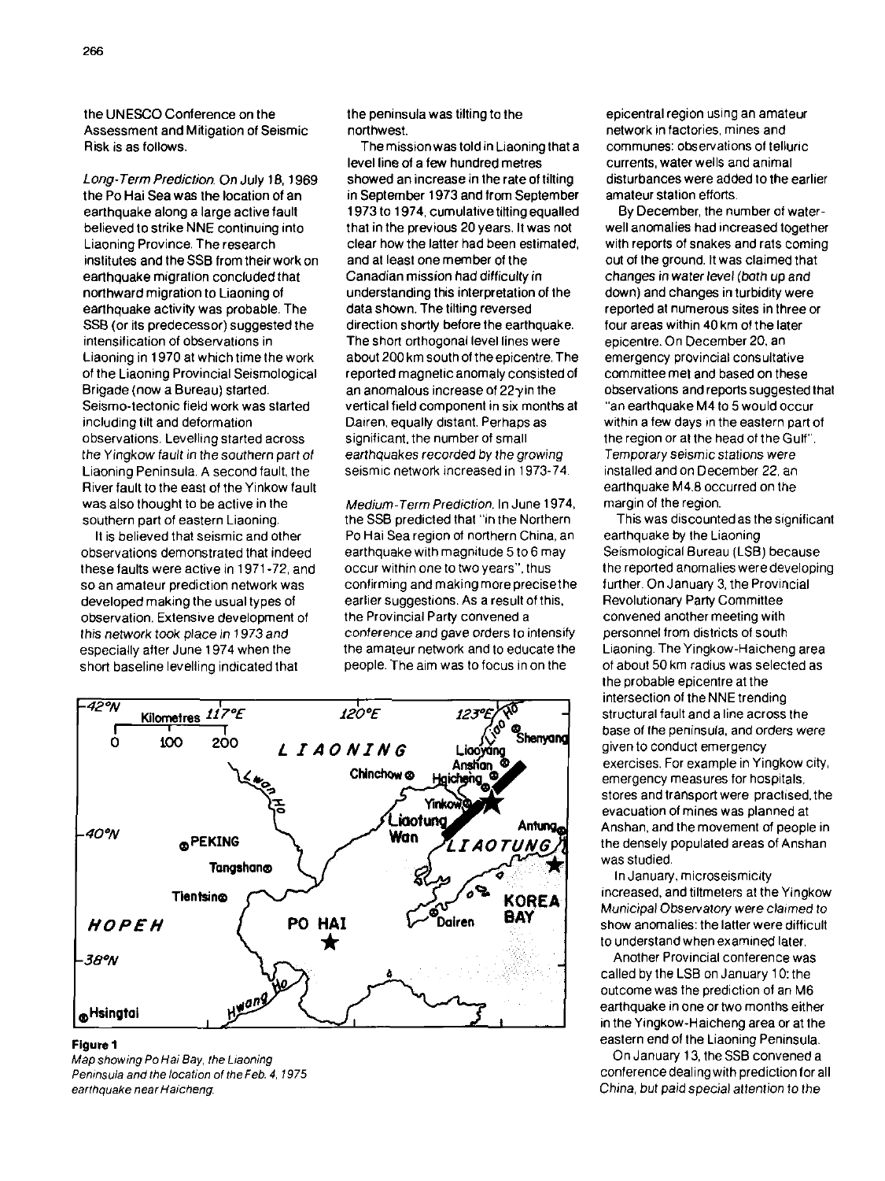the UNESCO Conference on the Assessment and Mitigation of Seismic Risk is as follows.

Long- Term Prediction. On July 18. 1969 the Po Hai Sea was the location of an earthquake along a large active fault believed to strike NNE continuing into Liaoning Province. The research institutes and the SSB from their work on earthquake migration concluded that northward migration to Liaoning of earthquake activity was probable. The SSB (or its predecessor) suggested the intensification of observations in Liaoning in 1970 at which time the work of the Liaoning Provincial Seismological Brigade (now a Bureau) started. Seismo-tectonic field work was started including tilt and deformation observations. Levelling started across the Yingkow fault in thesouthern part of Liaoning Peninsula. A second fault, the River fault to the east of the Yinkow fault was also thought to be active in the southern part of eastern Liaoning.

It is believed that seismic and other observations demonstrated that indeed these faults were active in 1971 -72, and so an amateur prediction network was developed making the usual types of observation. Extensive development of this network took place in 1973 and especially after June 1974 when the short baseline levelling indicated that

the peninsula was tilting to the northwest.

The mission was told in Liaoningthat a level line of a few hundred metres showed an increase in the rate of tilting in September 1973 and from September 1973 to 1974, cumulative tilting equalled that in the previous 20 years. It was not clear how the latter had been estimated, and at least one member of the Canadian mission had difficulty in understanding this interpretation of the data shown. The tilting reversed direction shortly before the earthquake. The short orthogonal level lines were about 200 km south of the epicentre. The reported magnetic anomaly consisted of an anomalous increase of 22yin the vertical field component in six months at Dairen, equally distant. Perhaps as significant, the number of small earthquakes recorded by the growing seismic network increased in 1973-74.

Medium-Term Prediction. In June 1974. the SSB predicted that "in the Northern Po Hai Sea region of northern China, an earthquake with magnitude 5 to 6 may occur within one to two years", thus confirming and making more precisethe earlier suggestions. As a result of this, the Provincial Party convened a conference and gave orders to intensify the amateur network and to educate the people. The aim was to focus in on the



## **Figure 1**

Map showing Po Hai Bay, the Liaoning Peninsula and the location of the Feb. 4, 1975 earthquake near Haicheng.

epicentral region using an amateur network in factories, mines and communes: observations of telluric currents, water wells and animal disturbances were added to the earlier amateur station efforts.

By December, the number of waterwell anomalies had increased together with reports of snakes and rats coming out of the ground. It was claimed that changes in water level (both up and down) and changes in turbidity were reported at numerous sites in three or four areas within 40 km of the later epicentre. On December 20. an emergency provincial consultative committee met and based on these observations and reports suggested that "an earthquake M4to 5 would occur within a few days in the eastern part of the region or at the head of the Gulf". Temporary seismicstations were installed and on December 22, an earthquake M4.8 occurred on the margin of the region.

This was discounted as the significant earthquake by the Liaoning Seismological Bureau (LSB) because the reported anomalies weredeveloping further. On January 3, the Provincial Revolutionary Party Committee convened another meeting with personnel from districts of south Liaoning. TheYingkow-Haicheng area of about 50 km radius was selected as the probable epicentre at the intersection of theNNE trending structural fault and a line across the base of the peninsula, and orders were given to conduct emergency exercises. For example in Yingkow city, emergency measures for hospitals. stores and transport were practised. the evacuation of mines was planned at Anshan, and the movement of people in the densely populated areas of Anshan was studied.

In January, microseismicity increased, and tiltmeters at the Yingkow Municipal Observatory were claimed to show anomalies: the latter were difficult to understand when examined later.

Another Provincial conference was called by the LSB on January 10: the outcome was the prediction of an M6 earthquake in one or two months either in the Yingkow-Haicheng area or at the eastern end of the Liaoning Peninsula.

On January 13, the SSB convened a conference dealingwith prediction for all China. but paid special attention to the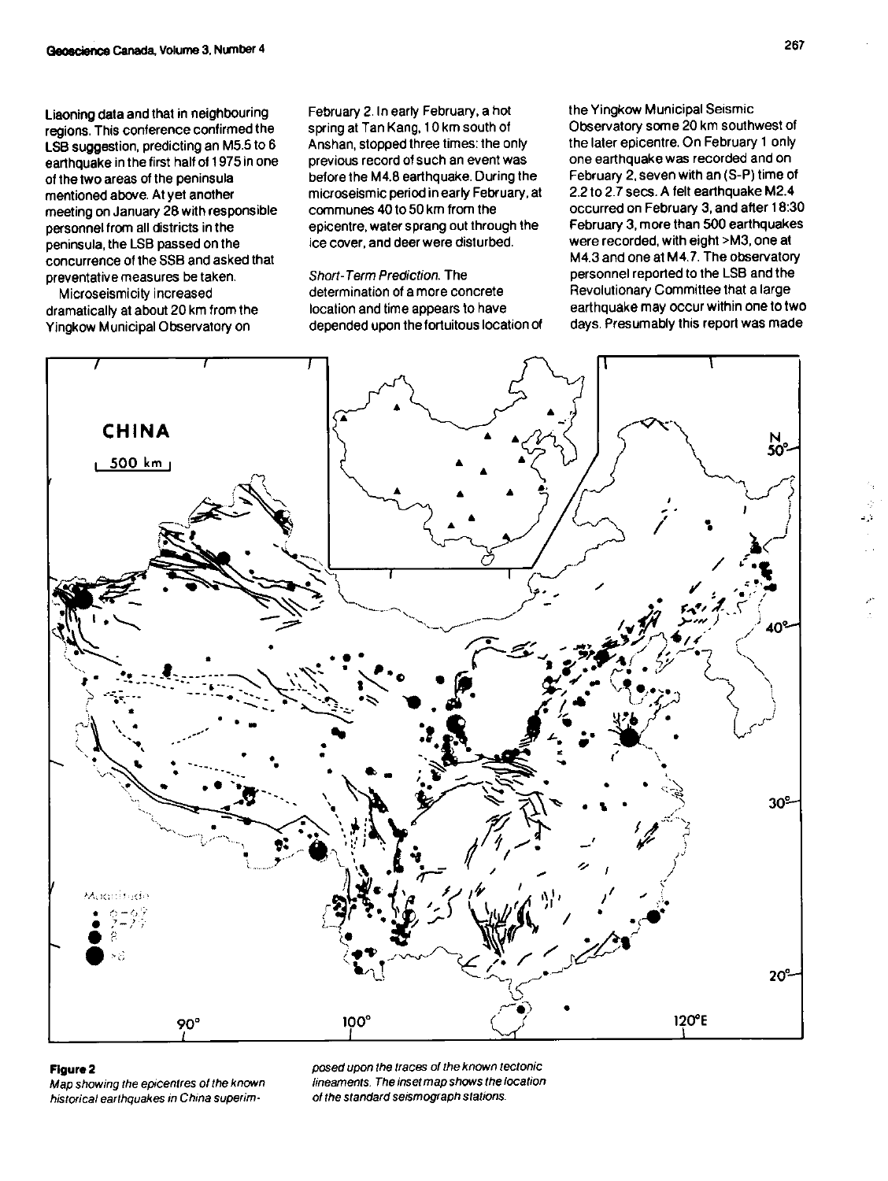Liaoning data and that in neighbouring regions. This conference confirmed the LSB suggestion, predicting an M5.5 to 6 earthquake in the first half of 1975 in one of the two areas of the peninsula mentioned above. At yet another meeting on January 28 with responsible personnel from all districts in the peninsula, the LSB passed on the concurrence of the SSB and asked that preventative measures be taken.

Microseismicity increased dramatically at about 20 km from the Yingkow Municipal Observatory on

February 2. In early February, a hot sping at Tan Kang. 10 km south of Anshan, stopped three times: the only previous record of such an event was before the M4.8 earthquake. During the microseismic period inearly February, at communes 40 to 50 km from the epicentre, water sprang out through the ice cover, and deer were disturbed.

Short-Term Prediction. The determination of a more concrete location and time appears to have depended upon the fortuitous location **Of**  the Yingkow Municipal Seismic Observatory some 20 km southwest of the later epicentre. On February 1 only one earthquake was recorded and on February 2, seven with an (S-P) time of 2.2 to 2.7 secs. A felt earthquake M2.4 occurred on February 3, and after 1830 February 3, more than 500 earthquakes were recorded, with eight >M3, one at M4.3 and one at M4.7. The observatory personnel reported to the LSB and the Revolutionary Committee that a large earthquake may occur within one to two days. Presumably this report was made



historical earthquakes in China superim-

**Figure 2 posed upon the traces 01 the known reclonic**  *Maximum fine amely fine amely fine amely fine amely of the standard seismograph stations.*  a di